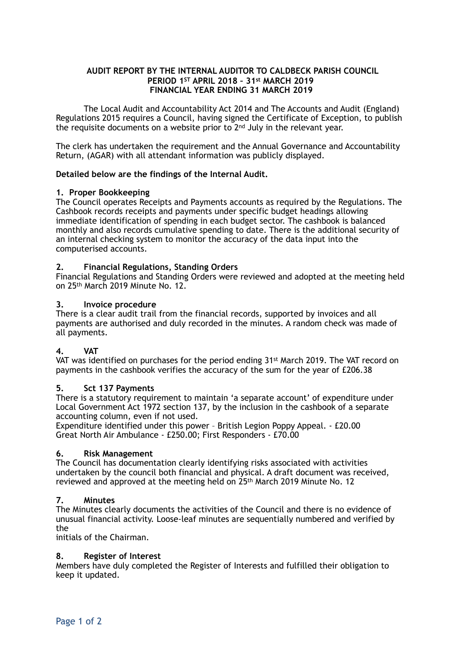# **AUDIT REPORT BY THE INTERNAL AUDITOR TO CALDBECK PARISH COUNCIL PERIOD 1ST APRIL 2018 – 31st MARCH 2019 FINANCIAL YEAR ENDING 31 MARCH 2019**

The Local Audit and Accountability Act 2014 and The Accounts and Audit (England) Regulations 2015 requires a Council, having signed the Certificate of Exception, to publish the requisite documents on a website prior to 2nd July in the relevant year.

The clerk has undertaken the requirement and the Annual Governance and Accountability Return, (AGAR) with all attendant information was publicly displayed.

# **Detailed below are the findings of the Internal Audit.**

# **1. Proper Bookkeeping**

The Council operates Receipts and Payments accounts as required by the Regulations. The Cashbook records receipts and payments under specific budget headings allowing immediate identification of spending in each budget sector. The cashbook is balanced monthly and also records cumulative spending to date. There is the additional security of an internal checking system to monitor the accuracy of the data input into the computerised accounts.

# **2. Financial Regulations, Standing Orders**

Financial Regulations and Standing Orders were reviewed and adopted at the meeting held on 25th March 2019 Minute No. 12.

# **3. Invoice procedure**

There is a clear audit trail from the financial records, supported by invoices and all payments are authorised and duly recorded in the minutes. A random check was made of all payments.

# **4. VAT**

VAT was identified on purchases for the period ending 31st March 2019. The VAT record on payments in the cashbook verifies the accuracy of the sum for the year of £206.38

#### **5. Sct 137 Payments**

There is a statutory requirement to maintain 'a separate account' of expenditure under Local Government Act 1972 section 137, by the inclusion in the cashbook of a separate accounting column, even if not used.

Expenditure identified under this power – British Legion Poppy Appeal. - £20.00 Great North Air Ambulance - £250.00; First Responders - £70.00

#### **6. Risk Management**

The Council has documentation clearly identifying risks associated with activities undertaken by the council both financial and physical. A draft document was received, reviewed and approved at the meeting held on 25<sup>th</sup> March 2019 Minute No. 12

#### **7. Minutes**

The Minutes clearly documents the activities of the Council and there is no evidence of unusual financial activity. Loose-leaf minutes are sequentially numbered and verified by the

initials of the Chairman.

#### **8. Register of Interest**

Members have duly completed the Register of Interests and fulfilled their obligation to keep it updated.